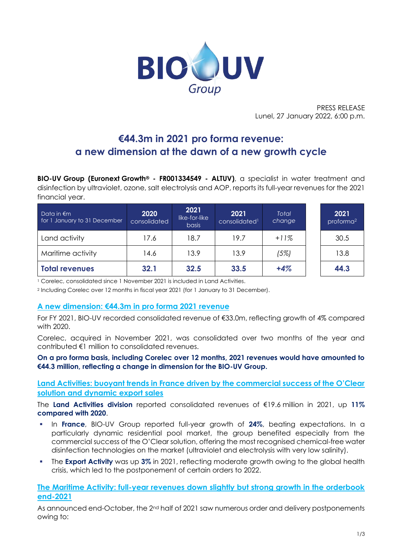

PRESS RELEASE Lunel, 27 January 2022, 6:00 p.m.

# **€44.3m in 2021 pro forma revenue: a new dimension at the dawn of a new growth cycle**

**BIO-UV Group (Euronext Growth® - FR001334549 - ALTUV)**, a specialist in water treatment and disinfection by ultraviolet, ozone, salt electrolysis and AOP, reports its full-year revenues for the 2021 financial year.

| Data in $\notin$ m<br>for 1 January to 31 December | 2020<br>consolidated | 2021<br>like-for-like<br><b>basis</b> | 2021<br>consolidated <sup>1</sup> | <b>Total</b><br>change | 2021<br>proforma <sup>2</sup> |
|----------------------------------------------------|----------------------|---------------------------------------|-----------------------------------|------------------------|-------------------------------|
| Land activity                                      | 17.6                 | 18.7                                  | 19.7                              | $+11%$                 | 30.5                          |
| Maritime activity                                  | 14.6                 | 13.9                                  | 13.9                              | (5%)                   | 13.8                          |
| <b>Total revenues</b>                              | 32.1                 | 32.5                                  | 33.5                              | $+4%$                  | 44.3                          |

<sup>1</sup> Corelec, consolidated since 1 November 2021 is included in Land Activities.

<sup>2</sup> Including Corelec over 12 months in fiscal year 2021 (for 1 January to 31 December).

### **A new dimension: €44.3m in pro forma 2021 revenue**

For FY 2021, BIO-UV recorded consolidated revenue of €33.0m, reflecting growth of 4% compared with 2020.

Corelec, acquired in November 2021, was consolidated over two months of the year and contributed €1 million to consolidated revenues.

**On a pro forma basis, including Corelec over 12 months, 2021 revenues would have amounted to €44.3 million, reflecting a change in dimension for the BIO-UV Group.**

**Land Activities: buoyant trends in France driven by the commercial success of the O'Clear solution and dynamic export sales** 

The **Land Activities division** reported consolidated revenues of €19.6 million in 2021, up **11% compared with 2020**.

- In **France**, BIO-UV Group reported full-year growth of 24%, beating expectations. In a particularly dynamic residential pool market, the group benefited especially from the commercial success of the O'Clear solution, offering the most recognised chemical-free water disinfection technologies on the market (ultraviolet and electrolysis with very low salinity).
- **The Export Activity** was up 3% in 2021, reflecting moderate growth owing to the global health crisis, which led to the postponement of certain orders to 2022.

**The Maritime Activity: full-year revenues down slightly but strong growth in the orderbook end-2021**

As announced end-October, the 2<sup>nd</sup> half of 2021 saw numerous order and delivery postponements owing to: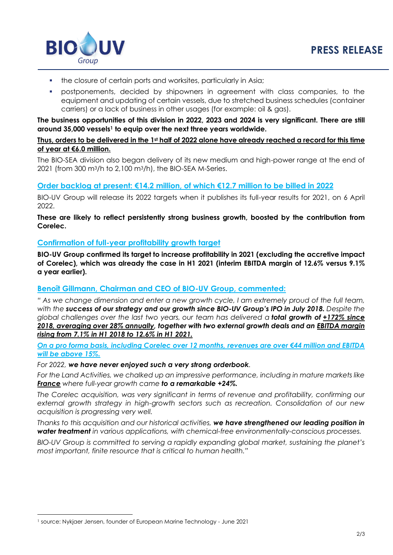

- the closure of certain ports and worksites, particularly in Asia;
- postponements, decided by shipowners in agreement with class companies, to the equipment and updating of certain vessels, due to stretched business schedules (container carriers) or a lack of business in other usages (for example: oil & gas).

**The business opportunities of this division in 2022, 2023 and 2024 is very significant. There are still around 35,000 vessels<sup>1</sup> to equip over the next three years worldwide.** 

## **Thus, orders to be delivered in the 1st half of 2022 alone have already reached a record for this time of year at €6.0 million.**

The BIO-SEA division also began delivery of its new medium and high-power range at the end of 2021 (from 300 m3/h to 2,100 m3/h), the BIO-SEA M-Series.

# **Order backlog at present: €14.2 million, of which €12.7 million to be billed in 2022**

BIO-UV Group will release its 2022 targets when it publishes its full-year results for 2021, on 6 April 2022.

## **These are likely to reflect persistently strong business growth, boosted by the contribution from Corelec.**

## **Confirmation of full-year profitability growth target**

**BIO-UV Group confirmed its target to increase profitability in 2021 (excluding the accretive impact of Corelec), which was already the case in H1 2021 (interim EBITDA margin of 12.6% versus 9.1% a year earlier).**

# **Benoît Gillmann, Chairman and CEO of BIO-UV Group, commented:**

*" As we change dimension and enter a new growth cycle, I am extremely proud of the full team, with the success of our strategy and our growth since BIO-UV Group's IPO in July 2018. Despite the global challenges over the last two years, our team has delivered a total growth of +172% since 2018, averaging over 28% annually, together with two external growth deals and an EBITDA margin rising from 7.1% in H1 2018 to 12.6% in H1 2021.*

*On a pro forma basis, including Corelec over 12 months, revenues are over €44 million and EBITDA will be above 15%.*

### *For 2022, we have never enjoyed such a very strong orderbook.*

*For the Land Activities, we chalked up an impressive performance, including in mature markets like France where full-year growth came to a remarkable +24%.*

*The Corelec acquisition, was very significant in terms of revenue and profitability, confirming our external growth strategy in high-growth sectors such as recreation. Consolidation of our new acquisition is progressing very well.*

*Thanks to this acquisition and our historical activities, we have strengthened our leading position in water treatment in various applications, with chemical-free environmentally-conscious processes.*

*BIO-UV Group is committed to serving a rapidly expanding global market, sustaining the planet's most important, finite resource that is critical to human health."*

<sup>1</sup> source: Nykjaer Jensen, founder of European Marine Technology - June 2021